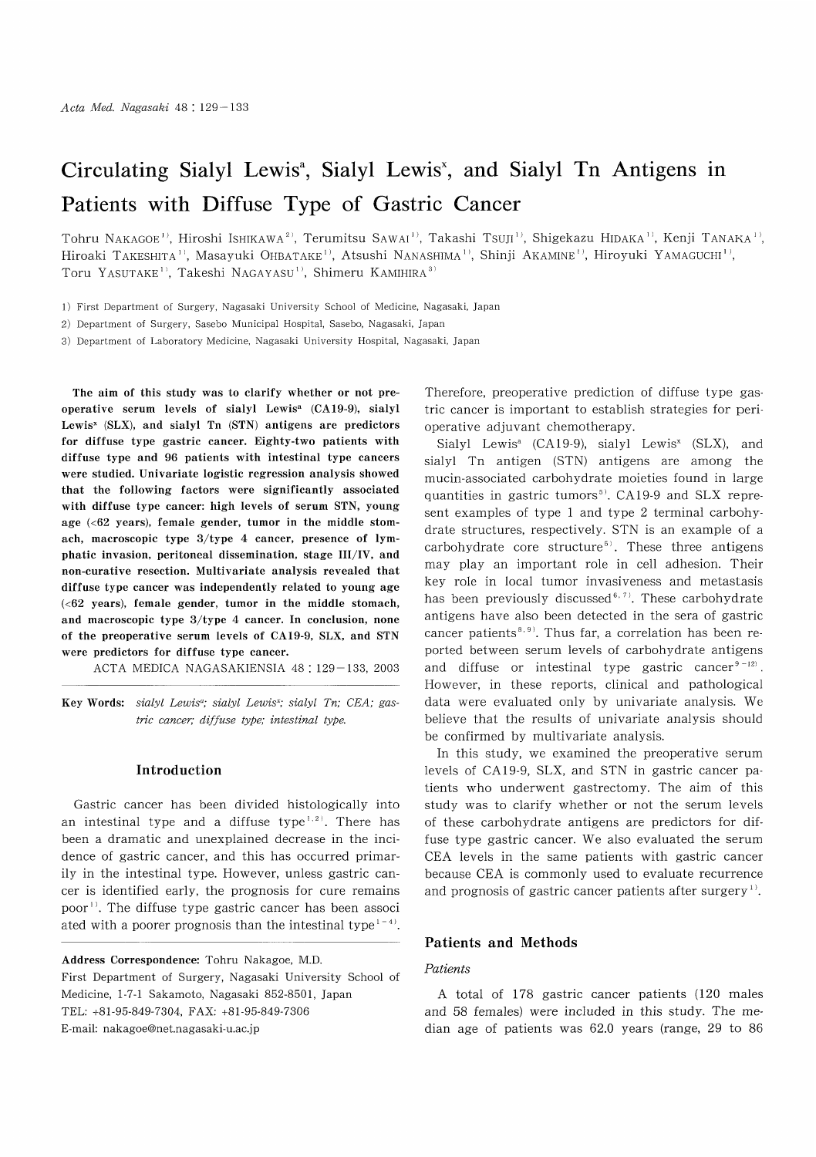# Circulating Sialyl Lewis<sup>3</sup>, Sialyl Lewis<sup>3</sup>, and Sialyl Tn Antigens in Patients with Diffuse Type of Gastric Cancer

Tohru NAKAGOE<sup>1)</sup>, Hiroshi ISHIKAWA<sup>2)</sup>, Terumitsu SAWAI<sup>1)</sup>, Takashi Tsuji<sup>1)</sup>, Shigekazu HIDAKA<sup>1)</sup>, Kenji TANAKA<sup>1)</sup>, Hiroaki TAKESHITA<sup>1)</sup>, Masayuki OHBATAKE<sup>1)</sup>, Atsushi NANASHIMA<sup>1)</sup>, Shinji AKAMINE<sup>1)</sup>, Hiroyuki YAMAGUCHI<sup>1)</sup>, Toru YASUTAKE<sup>1)</sup>, Takeshi NAGAYASU<sup>1)</sup>, Shimeru KAMIHIRA<sup>3)</sup>

1) First Department of Surgery, Nagasaki University School of Medicine, Nagasaki, Japan

2) Department of Surgery, Sasebo Municipal Hospital, Sasebo, Nagasaki, Japan

3) Department of Laboratory Medicine, Nagasaki University Hospital, Nagasaki, Japan

The aim of this study was to clarify whether or not preoperative serum levels of sialyl Lewisa (CA19-9), sialyl Lewis<sup>x</sup> (SLX), and sialyl Tn (STN) antigens are predictors for diffuse type gastric cancer. Eighty-two patients with diffuse type and 96 patients with intestinal type cancers were studied. Univariate logistic regression analysis showed that the following factors were significantly associated with diffuse type cancer: high levels of serum STN, young age (<62 years), female gender, tumor in the middle stomach, macroscopic type 3/type 4 cancer, presence of lymphatic invasion, peritoneal dissemination, stage III/IV, and non-curative resection. Multivariate analysis revealed that diffuse type cancer was independently related to young age  $(**62** years)$ , female gender, tumor in the middle stomach, and macroscopic type 3/type 4 cancer. In conclusion, none of the preoperative serum levels of CA19-9, SLX, and STN were predictors for diffuse type cancer.

ACTA MEDICA NAGASAKIENSIA 48: 129-133, 2003

Key Words: sialyl Lewis<sup>a</sup>; sialyl Lewis<sup>x</sup>; sialyl Tn; CEA; gastric cancer; diffuse type; intestinal type.

#### Introduction

Gastric cancer has been divided histologically into an intestinal type and a diffuse type<sup> $1,2$ </sup>. There has been a dramatic and unexplained decrease in the incidence of gastric cancer, and this has occurred primarily in the intestinal type. However, unless gastric cancer is identified early, the prognosis for cure remains poor''. The diffuse type gastric cancer has been associ ated with a poorer prognosis than the intestinal type<sup> $1-4$ </sup>.

Address Correspondence: Tohru Nakagoe, M.D. First Department of Surgery, Nagasaki University School of Medicine, 1-7-1 Sakamoto, Nagasaki 852-8501, Japan TEL: +81-95-849-7304, FAX: +81-95-849-7306 E-mail: nakagoe@net.nagasaki-u.ac.jp

Therefore, preoperative prediction of diffuse type gastric cancer is important to establish strategies for perioperative adjuvant chemotherapy.

Sialyl Lewis<sup>a</sup> (CA19-9), sialyl Lewis<sup>x</sup> (SLX), and sialyl Tn antigen (STN) antigens are among the mucin-associated carbohydrate moieties found in large quantities in gastric tumors<sup>5)</sup>. CA19-9 and SLX represent examples of type 1 and type 2 terminal carbohydrate structures, respectively. STN is an example of a carbohydrate core structure<sup>5)</sup>. These three antigens may play an important role in cell adhesion. Their key role in local tumor invasiveness and metastasis has been previously discussed<sup>6,7)</sup>. These carbohydrate antigens have also been detected in the sera of gastric cancer patients<sup>8,9)</sup>. Thus far, a correlation has been reported between serum levels of carbohydrate antigens and diffuse or intestinal type gastric cancer $9-12$ . However, in these reports, clinical and pathological data were evaluated only by univariate analysis. We believe that the results of univariate analysis should be confirmed by multivariate analysis.

In this study, we examined the preoperative serum levels of CA 19-9, SLX, and STN in gastric cancer patients who underwent gastrectomy. The aim of this study was to clarify whether or not the serum levels of these carbohydrate antigens are predictors for diffuse type gastric cancer. We also evaluated the serum CEA levels in the same patients with gastric cancer because CEA is commonly used to evaluate recurrence and prognosis of gastric cancer patients after surgery<sup>1)</sup>.

### Patients and Methods

#### Patients

A total of 178 gastric cancer patients (120 males and 58 females) were included in this study. The median age of patients was 62.0 years (range, 29 to 86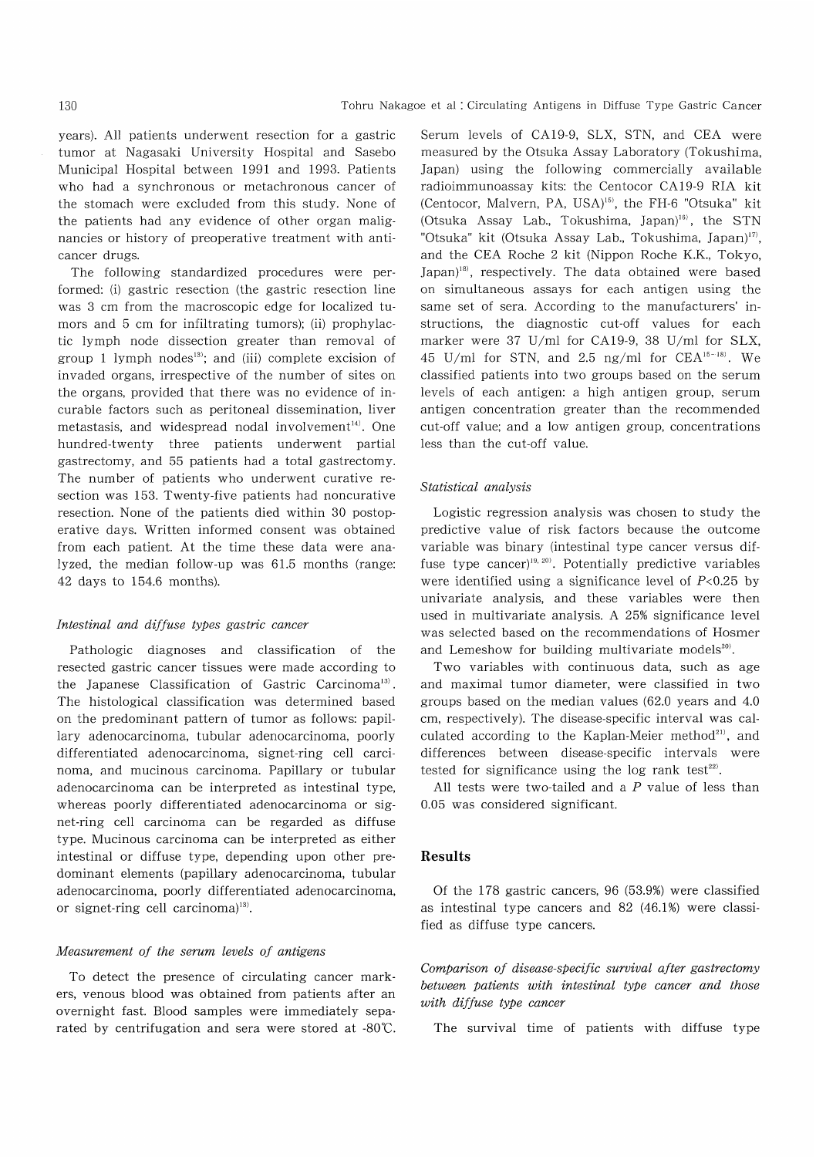years). All patients underwent resection for a gastric tumor at Nagasaki University Hospital and Sasebo Municipal Hospital between 1991 and 1993. Patients who had a synchronous or metachronous cancer of the stomach were excluded from this study. None of the patients had any evidence of other organ malignancies or history of preoperative treatment with anticancer drugs.

The following standardized procedures were performed: (i) gastric resection (the gastric resection line was 3 cm from the macroscopic edge for localized tumors and 5 cm for infiltrating tumors); (ii) prophylactic lymph node dissection greater than removal of group 1 lymph nodes<sup>13)</sup>; and (iii) complete excision of invaded organs, irrespective of the number of sites on the organs, provided that there was no evidence of incurable factors such as peritoneal dissemination, liver metastasis, and widespread nodal involvement<sup>14)</sup>. One hundred-twenty three patients underwent partial gastrectomy, and 55 patients had a total gastrectomy. The number of patients who underwent curative resection was 153. Twenty-five patients had noncurative resection. None of the patients died within 30 postoperative days. Written informed consent was obtained from each patient. At the time these data were analyzed, the median follow-up was 61.5 months (range: 42 days to 154.6 months).

#### Intestinal and diffuse types gastric cancer

Pathologic diagnoses and classification of the resected gastric cancer tissues were made according to the Japanese Classification of Gastric Carcinoma<sup>13)</sup>. The histological classification was determined based on the predominant pattern of tumor as follows: papillary adenocarcinoma, tubular adenocarcinoma, poorly differentiated adenocarcinoma, signet-ring cell carcinoma, and mucinous carcinoma. Papillary or tubular adenocarcinoma can be interpreted as intestinal type, whereas poorly differentiated adenocarcinoma or signet-ring cell carcinoma can be regarded as diffuse type. Mucinous carcinoma can be interpreted as either intestinal or diffuse type, depending upon other predominant elements (papillary adenocarcinoma, tubular adenocarcinoma, poorly differentiated adenocarcinoma, or signet-ring cell carcinoma)<sup>13)</sup>.

#### Measurement of the serum levels of antigens

To detect the presence of circulating cancer markers, venous blood was obtained from patients after an overnight fast. Blood samples were immediately separated by centrifugation and sera were stored at -80'C.

Serum levels of CA19-9, SLX, STN, and CEA were measured by the Otsuka Assay Laboratory (Tokushima, Japan) using the following commercially available radioimmunoassay kits: the Centocor CA19-9 RIA kit (Centocor, Malvern, PA, USA)<sup>15)</sup>, the FH-6 "Otsuka" kit (Otsuka Assay Lab., Tokushima, Japan)<sup>16)</sup>, the STN "Otsuka" kit (Otsuka Assay Lab., Tokushima, Japan)<sup>17)</sup>, and the CEA Roche 2 kit (Nippon Roche K.K., Tokyo, Japan)<sup>18)</sup>, respectively. The data obtained were based on simultaneous assays for each antigen using the same set of sera. According to the manufacturers' instructions, the diagnostic cut-off values for each marker were 37 U/ml for CA19-9, 38 U/ml for SLX, 45 U/ml for STN, and 2.5 ng/ml for  $CEA<sup>15-18</sup>$ . We classified patients into two groups based on the serum levels of each antigen: a high antigen group, serum antigen concentration greater than the recommended cut-off value; and a low antigen group, concentrations less than the cut-off value.

#### Statistical analysis

Logistic regression analysis was chosen to study the predictive value of risk factors because the outcome variable was binary (intestinal type cancer versus diffuse type cancer)<sup>19, 20)</sup>. Potentially predictive variables were identified using a significance level of  $P<0.25$  by univariate analysis, and these variables were then used in multivariate analysis. A 25% significance level was selected based on the recommendations of Hosmer and Lemeshow for building multivariate models $^{20}$ .

Two variables with continuous data, such as age and maximal tumor diameter, were classified in two groups based on the median values (62.0 years and 4.0 cm, respectively). The disease-specific interval was calculated according to the Kaplan-Meier method<sup>21)</sup>, and differences between disease-specific intervals were tested for significance using the log rank test $22$ .

All tests were two-tailed and a  $P$  value of less than 0.05 was considered significant.

#### Results

Of the 178 gastric cancers, 96 (53.9%) were classified as intestinal type cancers and 82 (46.1%) were classified as diffuse type cancers.

Comparison of disease-specific survival after gastrectomy between patients with intestinal type cancer and those with diffuse type cancer

The survival time of patients with diffuse type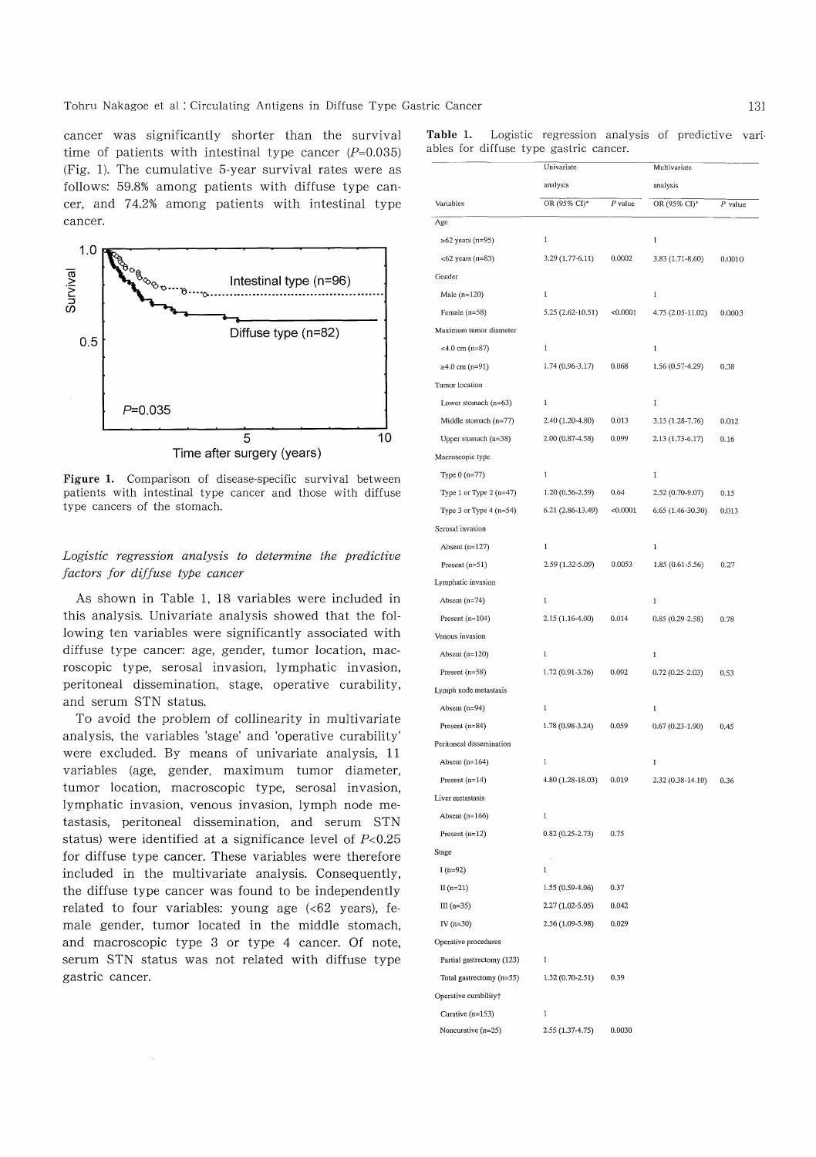cancer was significantly shorter than the survival time of patients with intestinal type cancer  $(P=0.035)$ (Fig. 1). The cumulative 5-year survival rates were as follows: 59.8% among patients with diffuse type cancer, and 74.2% among patients with intestinal type cancer.



Figure 1. Comparison of disease-specific survival between patients with intestinal type cancer and those with diffuse type cancers of the stomach.

## Logistic regression analysis to determine the predictive factors for diffuse type cancer

As shown in Table 1, 18 variables were included in this analysis. Univariate analysis showed that the following ten variables were significantly associated with diffuse type cancer: age, gender, tumor location, macroscopic type, serosal invasion, lymphatic invasion, peritoneal dissemination, stage, operative curability, and serum STN status.

To avoid the problem of collinearity in multivariate analysis, the variables 'stage' and 'operative curability' were excluded. By means of univariate analysis, 11 variables (age, gender, maximum tumor diameter, tumor location, macroscopic type, serosal invasion, lymphatic invasion, venous invasion, lymph node metastasis, peritoneal dissemination, and serum STN status) were identified at a significance level of  $P<0.25$ for diffuse type cancer. These variables were therefore included in the multivariate analysis. Consequently, the diffuse type cancer was found to be independently related to four variables: young age  $\langle 62 \rangle$  years), female gender, tumor located in the middle stomach, and macroscopic type 3 or type 4 cancer. Of note, serum STN status was not related with diffuse type gastric cancer.

Table 1. Logistic regression analysis of predictive variables for diffuse type gastric cancer.

| Variables                 | Univariate<br>analysis |          | Multivariate<br>analysis |        |
|---------------------------|------------------------|----------|--------------------------|--------|
|                           |                        |          |                          |        |
|                           | Age                    |          |                          |        |
| $\ge 62$ years (n=95)     | 1                      |          | $\mathbf 1$              |        |
| $<$ 62 years (n=83)       | $3.29(1.77-6.11)$      | 0.0002   | 3.83 (1.71-8.60)         | 0.0010 |
| Gender                    |                        |          |                          |        |
| Male $(n=120)$            | $\mathbf{1}$           |          | $\,1$                    |        |
| Female (n=58)             | 5.25 (2.62-10.51)      | < 0.0001 | 4.75 (2.05-11.02)        | 0.0003 |
| Maximum tumor diameter    |                        |          |                          |        |
| $<4.0$ cm (n=87)          | $1\,$                  |          | $\mathbf{1}$             |        |
| ≥4.0 cm (n=91)            | $1.74(0.96 - 3.17)$    | 0.068    | 1.56 (0.57-4.29)         | 0.38   |
| Tumor location            |                        |          |                          |        |
| Lower stomach $(n=63)$    | $\mathbf 1$            |          | 1                        |        |
| Middle stomach $(n=77)$   | 2.40 (1.20-4.80)       | 0.013    | 3.15 (1.28-7.76)         | 0.012  |
| Upper stomach $(n=38)$    | 2.00 (0.87-4.58)       | 0.099    | 2.13 (1.73-6.17)         | 0.16   |
| Macroscopic type          |                        |          |                          |        |
| Type $0(n=77)$            | $\,1$                  |          | $\mathbf 1$              |        |
| Type 1 or Type 2 $(n=47)$ | 1.20 (0.56-2.59)       | 0.64     | 2.52 (0.70-9.07)         | 0.15   |
| Type 3 or Type $4(n=54)$  | 6.21 (2.86-13.49)      | < 0.0001 | 6.65 (1.46-30.30)        | 0.013  |
| Serosal invasion          |                        |          |                          |        |
| Absent $(n=127)$          | 1                      |          | $\mathbf 1$              |        |
| Present $(n=51)$          | 2.59 (1.32-5.09)       | 0.0053   | 1.85 (0.61-5.56)         | 0.27   |
| Lymphatic invasion        |                        |          |                          |        |
| Absent $(n=74)$           | $1\,$                  |          | 1                        |        |
| Present $(n=104)$         | 2.15 (1.16-4.00)       | 0.014    | $0.85(0.29-2.58)$        | 0.78   |
| Venous invasion           |                        |          |                          |        |
| Absent $(n=120)$          | $\mathbf 1$            |          | $\mathbf 1$              |        |
| Present $(n=58)$          | 1.72 (0.91-3.26)       | 0.092    | $0.72(0.25 - 2.03)$      | 0.53   |
| Lymph node metastasis     |                        |          |                          |        |
| Absent $(n=94)$           | 1                      |          | $\mathbf 1$              |        |
| Present $(n=84)$          | 1.78 (0.98-3.24)       | 0.059    | $0.67(0.23-1.90)$        | 0.45   |
| Peritoneal dissemination  |                        |          |                          |        |
| Absent $(n=164)$          | $\mathbf 1$            |          | $\mathbf 1$              |        |
| Present $(n=14)$          | 4.80 (1.28-18.03)      | 0.019    | 2.32 (0.38-14.10)        | 0.36   |
| Liver metastasis          |                        |          |                          |        |
| Absent $(n=166)$          | $1\,$                  |          |                          |        |
| Present $(n=12)$          | $0.82(0.25 - 2.73)$    | 0.75     |                          |        |
| Stage                     |                        |          |                          |        |
| $I(n=92)$                 | $\mathbf 1$            |          |                          |        |
| $\Pi(n=21)$               | 1.55 (0.59-4.06)       | 0.37     |                          |        |
| III $(n=35)$              | 2.27 (1.02-5.05)       | 0.042    |                          |        |
| IV $(n=30)$               | 2.56 (1.09-5.98)       | 0.029    |                          |        |
| Operative procedures      |                        |          |                          |        |
| Partial gastrectomy (123) | $\mathbf{1}$           |          |                          |        |
| Total gastrectomy (n=55)  | $1.32(0.70-2.51)$      | 0.39     |                          |        |
| Operative curability†     |                        |          |                          |        |
| Curative $(n=153)$        | $\mathbbm{1}$          |          |                          |        |
| Noncurative $(n=25)$      | 2.55 (1.37-4.75)       | 0.0030   |                          |        |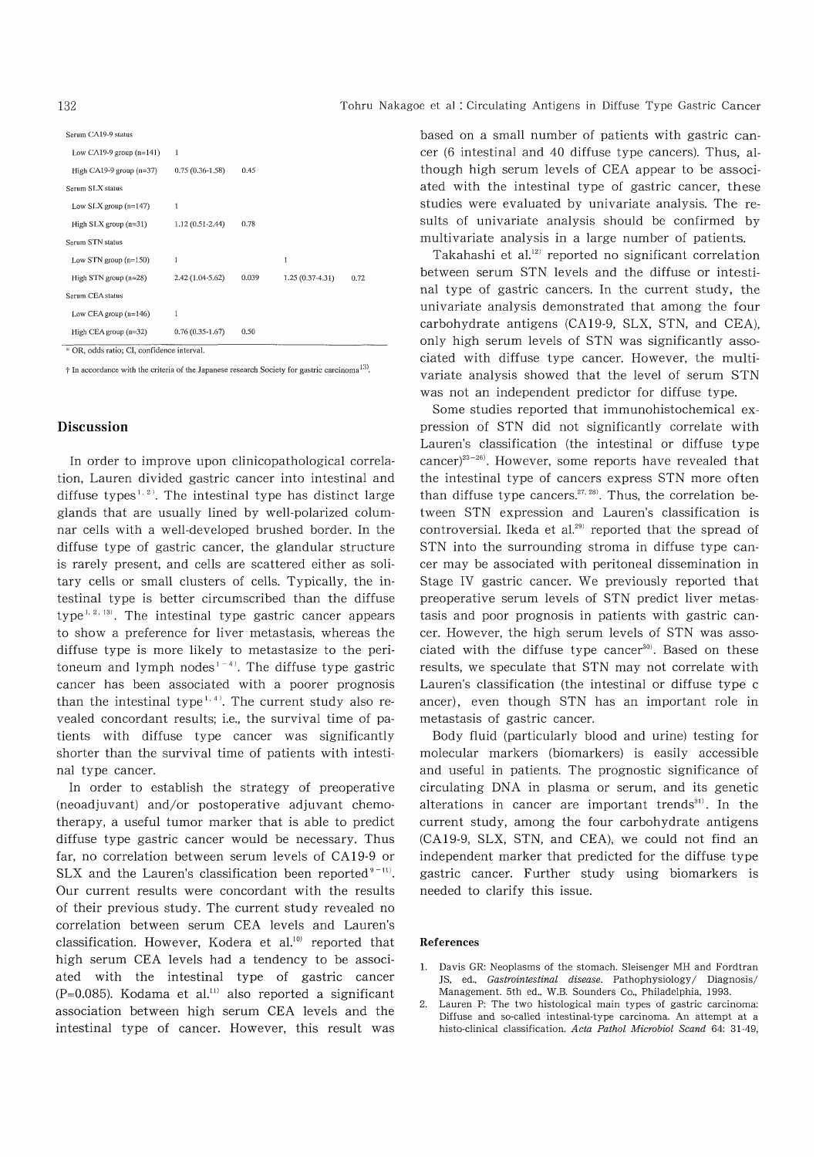| Low CA19-9 group $(n=141)$                 | 1                   |       |                  |      |
|--------------------------------------------|---------------------|-------|------------------|------|
| High CA19-9 group $(n=37)$                 | $0.75(0.36 - 1.58)$ | 0.45  |                  |      |
| Serum SLX status                           |                     |       |                  |      |
| Low SLX group $(n=147)$                    | 1                   |       |                  |      |
| High $SLX$ group $(n=31)$                  | $1.12(0.51-2.44)$   | 0.78  |                  |      |
| Serum STN status                           |                     |       |                  |      |
| Low STN group $(n=150)$                    | 1                   |       | 1                |      |
| High STN group $(n=28)$                    | 2.42 (1.04-5.62)    | 0.039 | 1.25 (0.37-4.31) | 0.72 |
| Serum CEA status                           |                     |       |                  |      |
| Low CEA group $(n=146)$                    | 1                   |       |                  |      |
| High CEA group $(n=32)$                    | $0.76(0.35-1.67)$   | 0.50  |                  |      |
| * OR, odds ratio; CI, confidence interval. |                     |       |                  |      |

† In accordance with the criteria of the Japanese research Society for gastric carcinoma<sup>13)</sup>.

#### Discussion

 In order to improve upon clinicopathological correlation, Lauren divided gastric cancer into intestinal and diffuse types<sup> $1, 2$ </sup>. The intestinal type has distinct large glands that are usually lined by well-polarized columnar cells with a well-developed brushed border. In the diffuse type of gastric cancer, the glandular structure is rarely present, and cells are scattered either as solitary cells or small clusters of cells. Typically, the intestinal type is better circumscribed than the diffuse type<sup>1, 2, 13)</sup>. The intestinal type gastric cancer appears to show a preference for liver metastasis, whereas the diffuse type is more likely to metastasize to the peritoneum and lymph nodes<sup> $1-4$ </sup>. The diffuse type gastric cancer has been associated with a poorer prognosis than the intestinal type<sup>1,4)</sup>. The current study also revealed concordant results; i.e., the survival time of patients with diffuse type cancer was significantly shorter than the survival time of patients with intestinal type cancer.

In order to establish the strategy of preoperative (neoadjuvant) and/or postoperative adjuvant chemotherapy, a useful tumor marker that is able to predict diffuse type gastric cancer would be necessary. Thus far, no correlation between serum levels of CA 19-9 or SLX and the Lauren's classification been reported $9-11$ . Our current results were concordant with the results of their previous study. The current study revealed no correlation between serum CEA levels and Lauren's classification. However, Kodera et al.<sup>10)</sup> reported that high serum CEA levels had a tendency to be associated with the intestinal type of gastric cancer (P=0.085). Kodama et al.<sup>11)</sup> also reported a significant association between high serum CEA levels and the intestinal type of cancer. However, this result was based on a small number of patients with gastric cancer (6 intestinal and 40 diffuse type cancers). Thus, although high serum levels of CEA appear to be associated with the intestinal type of gastric cancer, these studies were evaluated by univariate analysis. The results of univariate analysis should be confirmed by multivariate analysis in a large number of patients.

Takahashi et al.<sup>12)</sup> reported no significant correlation between serum STN levels and the diffuse or intestinal type of gastric cancers. In the current study, the univariate analysis demonstrated that among the four carbohydrate antigens (CA 19-9, SLX, STN, and CEA), only high serum levels of STN was significantly associated with diffuse type cancer. However, the multivariate analysis showed that the level of serum STN was not an independent predictor for diffuse type.

Some studies reported that immunohistochemical expression of STN did not significantly correlate with Lauren's classification (the intestinal or diffuse type  $cancer$ )<sup>23-26</sup>). However, some reports have revealed that the intestinal type of cancers express STN more often than diffuse type cancers.<sup>27, 28)</sup>. Thus, the correlation between STN expression and Lauren's classification is controversial. Ikeda et al.<sup>29)</sup> reported that the spread of STN into the surrounding stroma in diffuse type cancer may be associated with peritoneal dissemination in Stage IV gastric cancer. We previously reported that preoperative serum levels of STN predict liver metastasis and poor prognosis in patients with gastric cancer. However, the high serum levels of STN was associated with the diffuse type cancer<sup>30)</sup>. Based on these results, we speculate that STN may not correlate with Lauren's classification (the intestinal or diffuse type c ancer), even though STN has an important role in metastasis of gastric cancer.

Body fluid (particularly blood and urine) testing for molecular markers (biomarkers) is easily accessible and useful in patients. The prognostic significance of circulating DNA in plasma or serum, and its genetic alterations in cancer are important trends<sup>31)</sup>. In the current study, among the four carbohydrate antigens (CA 19-9, SLX, STN, and CEA), we could not find an independent marker that predicted for the diffuse type gastric cancer. Further study using biomarkers is needed to clarify this issue.

#### References

- 1. Davis GR: Neoplasms of the stomach. Sleisenger MH and Fordtran JS, ed., Gastrointestinal disease. Pathophysiology/ Diagnosis/ Management. 5th ed., W.B. Sounders Co., Philadelphia, 1993.
- 2. Lauren P: The two histological main types of gastric carcinoma: Diffuse and so-called intestinal-type carcinoma. An attempt at a histo-clinical classification. Acta Pathol Microbiol Scand 64: 31-49,

Serum CA19-9 status